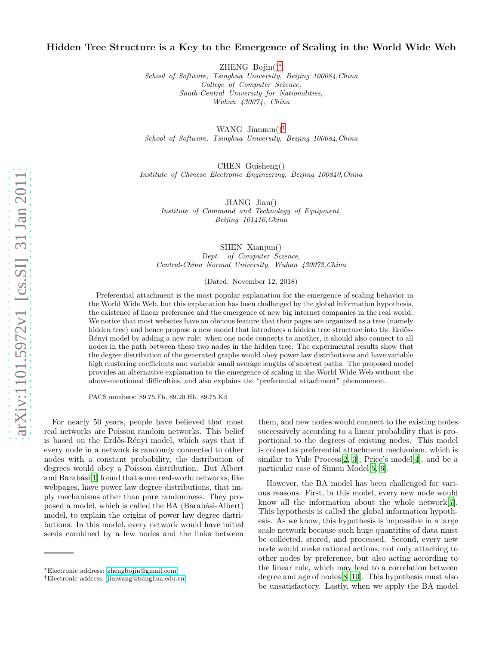## Hidden Tree Structure is a Key to the Emergence of Scaling in the World Wide Web

ZHENG Bojin() [∗](#page-0-0)

School of Software, Tsinghua University, Beijing 100084,China College of Computer Science, South-Central University for Nationalities, Wuhan 430074, China

WANG Jianmin() [†](#page-0-1) School of Software, Tsinghua University, Beijing 100084,China

CHEN Guisheng() Institute of Chinese Electronic Engineering, Beijing 100840,China

JIANG Jian()

Institute of Command and Technology of Equipment, Beijing 101416,China

> SHEN Xianjun() Dept. of Computer Science,

Central-China Normal University, Wuhan 430072,China

(Dated: November 12, 2018)

Preferential attachment is the most popular explanation for the emergence of scaling behavior in the World Wide Web, but this explanation has been challenged by the global information hypothesis, the existence of linear preference and the emergence of new big internet companies in the real world. We notice that most websites have an obvious feature that their pages are organized as a tree (namely hidden tree) and hence propose a new model that introduces a hidden tree structure into the Erdős-Rényi model by adding a new rule: when one node connects to another, it should also connect to all nodes in the path between these two nodes in the hidden tree. The experimental results show that the degree distribution of the generated graphs would obey power law distributions and have variable high clustering coefficients and variable small average lengths of shortest paths. The proposed model provides an alternative explanation to the emergence of scaling in the World Wide Web without the above-mentioned difficulties, and also explains the "preferential attachment" phenomenon.

PACS numbers: 89.75.Fb, 89.20.Hh, 89.75.Kd

For nearly 50 years, people have believed that most real networks are Poisson random networks. This belief is based on the Erdős-Rényi model, which says that if every node in a network is randomly connected to other nodes with a constant probability, the distribution of degrees would obey a Poisson distribution. But Albert and Barabási<sup>[\[1\]](#page-3-0)</sup> found that some real-world networks, like webpages, have power law degree distributions, that imply mechanisms other than pure randomness. They proposed a model, which is called the BA (Barabási-Albert) model, to explain the origins of power law degree distributions. In this model, every network would have initial seeds combined by a few nodes and the links between

them, and new nodes would connect to the existing nodes successively according to a linear probability that is proportional to the degrees of existing nodes. This model is coined as preferential attachment mechanism, which is similar to Yule Process[\[2,](#page-3-1) [3\]](#page-3-2), Price's model[\[4\]](#page-3-3), and be a particular case of Simon Model[\[5,](#page-3-4) [6\]](#page-3-5).

However, the BA model has been challenged for various reasons. First, in this model, every new node would know all the information about the whole network[\[7\]](#page-3-6). This hypothesis is called the global information hypothesis. As we know, this hypothesis is impossible in a large scale network because such huge quantities of data must be collected, stored, and processed. Second, every new node would make rational actions, not only attaching to other nodes by preference, but also acting according to the linear rule, which may lead to a correlation between degree and age of nodes[\[8](#page-3-7)[–10](#page-3-8)]. This hypothesis must also be unsatisfactory. Lastly, when we apply the BA model

<span id="page-0-0"></span><sup>∗</sup>Electronic address: [zhengbojin@gmail.com](mailto:zhengbojin@gmail.com)

<span id="page-0-1"></span><sup>†</sup>Electronic address: [jimwang@tsinghua.edu.cn](mailto:jimwang@tsinghua.edu.cn)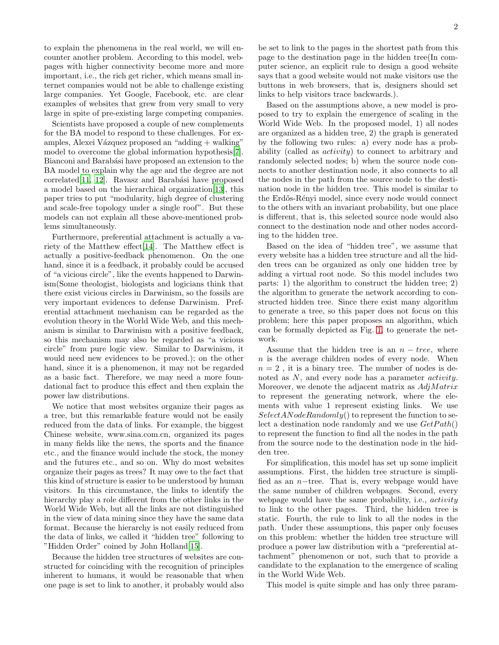to explain the phenomena in the real world, we will encounter another problem. According to this model, webpages with higher connectivity become more and more important, i.e., the rich get richer, which means small internet companies would not be able to challenge existing large companies. Yet Google, Facebook, etc. are clear examples of websites that grew from very small to very large in spite of pre-existing large competing companies.

Scientists have proposed a couple of new complements for the BA model to respond to these challenges. For examples, Alexei Vázquez proposed an "adding + walking" model to overcome the global information hypothesis[\[7\]](#page-3-6). Bianconi and Barabási have proposed an extension to the BA model to explain why the age and the degree are not  $correlated[11, 12]$  $correlated[11, 12]$  $correlated[11, 12]$ . Ravasz and Barabási have proposed a model based on the hierarchical organization[\[13\]](#page-3-11), this paper tries to put "modularity, high degree of clustering and scale-free topology under a single roof". But these models can not explain all these above-mentioned problems simultaneously.

Furthermore, preferential attachment is actually a variety of the Matthew effect[\[14\]](#page-3-12). The Matthew effect is actually a positive-feedback phenomenon. On the one hand, since it is a feedback, it probably could be accused of "a vicious circle", like the events happened to Darwinism(Some theologist, biologists and logicians think that there exist vicious circles in Darwinism, so the fossils are very important evidences to defense Darwinism. Preferential attachment mechanism can be regarded as the evolution theory in the World Wide Web, and this mechanism is similar to Darwinism with a positive feedback, so this mechanism may also be regarded as "a vicious circle" from pure logic view. Similar to Darwinism, it would need new evidences to be proved.); on the other hand, since it is a phenomenon, it may not be regarded as a basic fact. Therefore, we may need a more foundational fact to produce this effect and then explain the power law distributions.

We notice that most websites organize their pages as a tree, but this remarkable feature would not be easily reduced from the data of links. For example, the biggest Chinese website, www.sina.com.cn, organized its pages in many fields like the news, the sports and the finance etc., and the finance would include the stock, the money and the futures etc., and so on. Why do most websites organize their pages as trees? It may owe to the fact that this kind of structure is easier to be understood by human visitors. In this circumstance, the links to identify the hierarchy play a role different from the other links in the World Wide Web, but all the links are not distinguished in the view of data mining since they have the same data format. Because the hierarchy is not easily reduced from the data of links, we called it "hidden tree" following to "Hidden Order" coined by John Holland[\[15\]](#page-3-13).

Because the hidden tree structures of websites are constructed for coinciding with the recognition of principles inherent to humans, it would be reasonable that when one page is set to link to another, it probably would also

be set to link to the pages in the shortest path from this page to the destination page in the hidden tree(In computer science, an explicit rule to design a good website says that a good website would not make visitors use the buttons in web browsers, that is, designers should set links to help visitors trace backwards.).

Based on the assumptions above, a new model is proposed to try to explain the emergence of scaling in the World Wide Web. In the proposed model, 1) all nodes are organized as a hidden tree, 2) the graph is generated by the following two rules: a) every node has a probability (called as activity) to connect to arbitrary and randomly selected nodes; b) when the source node connects to another destination node, it also connects to all the nodes in the path from the source node to the destination node in the hidden tree. This model is similar to the Erdős-Rényi model, since every node would connect to the others with an invariant probability, but one place is different, that is, this selected source node would also connect to the destination node and other nodes according to the hidden tree.

Based on the idea of "hidden tree", we assume that every website has a hidden tree structure and all the hidden trees can be organized as only one hidden tree by adding a virtual root node. So this model includes two parts: 1) the algorithm to construct the hidden tree; 2) the algorithm to generate the network according to constructed hidden tree. Since there exist many algorithm to generate a tree, so this paper does not focus on this problem; here this paper proposes an algorithm, which can be formally depicted as Fig. [1,](#page-2-0) to generate the network.

Assume that the hidden tree is an  $n - tree$ , where  $n$  is the average children nodes of every node. When  $n = 2$ , it is a binary tree. The number of nodes is denoted as N, and every node has a parameter activity. Moreover, we denote the adjacent matrix as  $AdjMatrix$ to represent the generating network, where the elements with value 1 represent existing links. We use  $SelectANodeRandomly()$  to represent the function to select a destination node randomly and we use  $GetPath()$ to represent the function to find all the nodes in the path from the source node to the destination node in the hidden tree.

For simplification, this model has set up some implicit assumptions. First, the hidden tree structure is simplified as an n−tree. That is, every webpage would have the same number of children webpages. Second, every webpage would have the same probability, i.e., activity to link to the other pages. Third, the hidden tree is static. Fourth, the rule to link to all the nodes in the path. Under these assumptions, this paper only focuses on this problem: whether the hidden tree structure will produce a power law distribution with a "preferential attachment" phenomenon or not, such that to provide a candidate to the explanation to the emergence of scaling in the World Wide Web.

This model is quite simple and has only three param-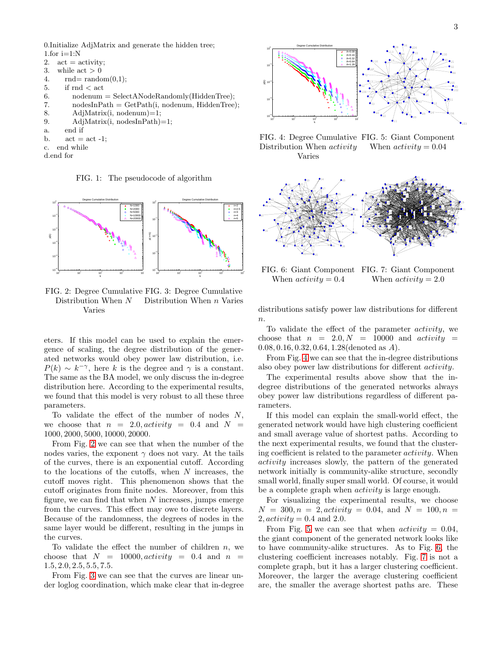0.Initialize AdjMatrix and generate the hidden tree; 1.for  $i=1:N$ 

```
2. act = activity;3. while \text{act} > 04. rad = \text{random}(0,1);5. if rnd < \text{act}6. nodenum = SelectANodeRandomly(HiddenTree);7. \qquad \qquad \text{nodesInPath} = \text{GetPath}(i, \text{nodenum}, \text{HiddenTree});8. AdjMatrix(i, nodenum)=1;
9. AdjMatrix(i, nodesInPath)=1;
a. end if
b. \operatorname{act} = \operatorname{act} -1;c. end while
```
d.end for

<span id="page-2-0"></span>FIG. 1: The pseudocode of algorithm



<span id="page-2-1"></span>FIG. 2: Degree Cumulative FIG. 3: Degree Cumulative Distribution When N Varies Distribution When n Varies

eters. If this model can be used to explain the emergence of scaling, the degree distribution of the generated networks would obey power law distribution, i.e.  $P(k) \sim k^{-\gamma}$ , here k is the degree and  $\gamma$  is a constant. The same as the BA model, we only discuss the in-degree distribution here. According to the experimental results, we found that this model is very robust to all these three parameters.

To validate the effect of the number of nodes  $N$ , we choose that  $n = 2.0, activity = 0.4$  and  $N =$ , 2000, 5000, 10000, 20000.

From Fig. [2](#page-2-1) we can see that when the number of the nodes varies, the exponent  $\gamma$  does not vary. At the tails of the curves, there is an exponential cutoff. According to the locations of the cutoffs, when  $N$  increases, the cutoff moves right. This phenomenon shows that the cutoff originates from finite nodes. Moreover, from this figure, we can find that when  $N$  increases, jumps emerge from the curves. This effect may owe to discrete layers. Because of the randomness, the degrees of nodes in the same layer would be different, resulting in the jumps in the curves.

To validate the effect the number of children  $n$ , we choose that  $N = 10000$ ,  $activity = 0.4$  and  $n =$ .5, 2.0, 2.5, 5.5, 7.5.

From Fig. [3](#page-2-2) we can see that the curves are linear under loglog coordination, which make clear that in-degree



<span id="page-2-4"></span><span id="page-2-3"></span>FIG. 4: Degree Cumulative FIG. 5: Giant Component Distribution When activity Varies When  $activity = 0.04$ 



<span id="page-2-6"></span><span id="page-2-5"></span>FIG. 6: Giant Component FIG. 7: Giant Component When  $activity = 0.4$ When  $activity = 2.0$ 

<span id="page-2-2"></span>distributions satisfy power law distributions for different  $n$ .

To validate the effect of the parameter activity, we choose that  $n = 2.0, N = 10000$  and *activity* = .08, 0.16, 0.32, 0.64, 1.28(denoted as A).

From Fig. [4](#page-2-3) we can see that the in-degree distributions also obey power law distributions for different activity.

The experimental results above show that the indegree distributions of the generated networks always obey power law distributions regardless of different parameters.

If this model can explain the small-world effect, the generated network would have high clustering coefficient and small average value of shortest paths. According to the next experimental results, we found that the clustering coefficient is related to the parameter activity. When activity increases slowly, the pattern of the generated network initially is community-alike structure, secondly small world, finally super small world. Of course, it would be a complete graph when *activity* is large enough.

For visualizing the experimental results, we choose  $N = 300, n = 2, activity = 0.04, and N = 100, n = 1$  $2, activity = 0.4$  and 2.0.

From Fig. [5](#page-2-4) we can see that when  $activity = 0.04$ , the giant component of the generated network looks like to have community-alike structures. As to Fig. [6,](#page-2-5) the clustering coefficient increases notably. Fig. [7](#page-2-6) is not a complete graph, but it has a larger clustering coefficient. Moreover, the larger the average clustering coefficient are, the smaller the average shortest paths are. These